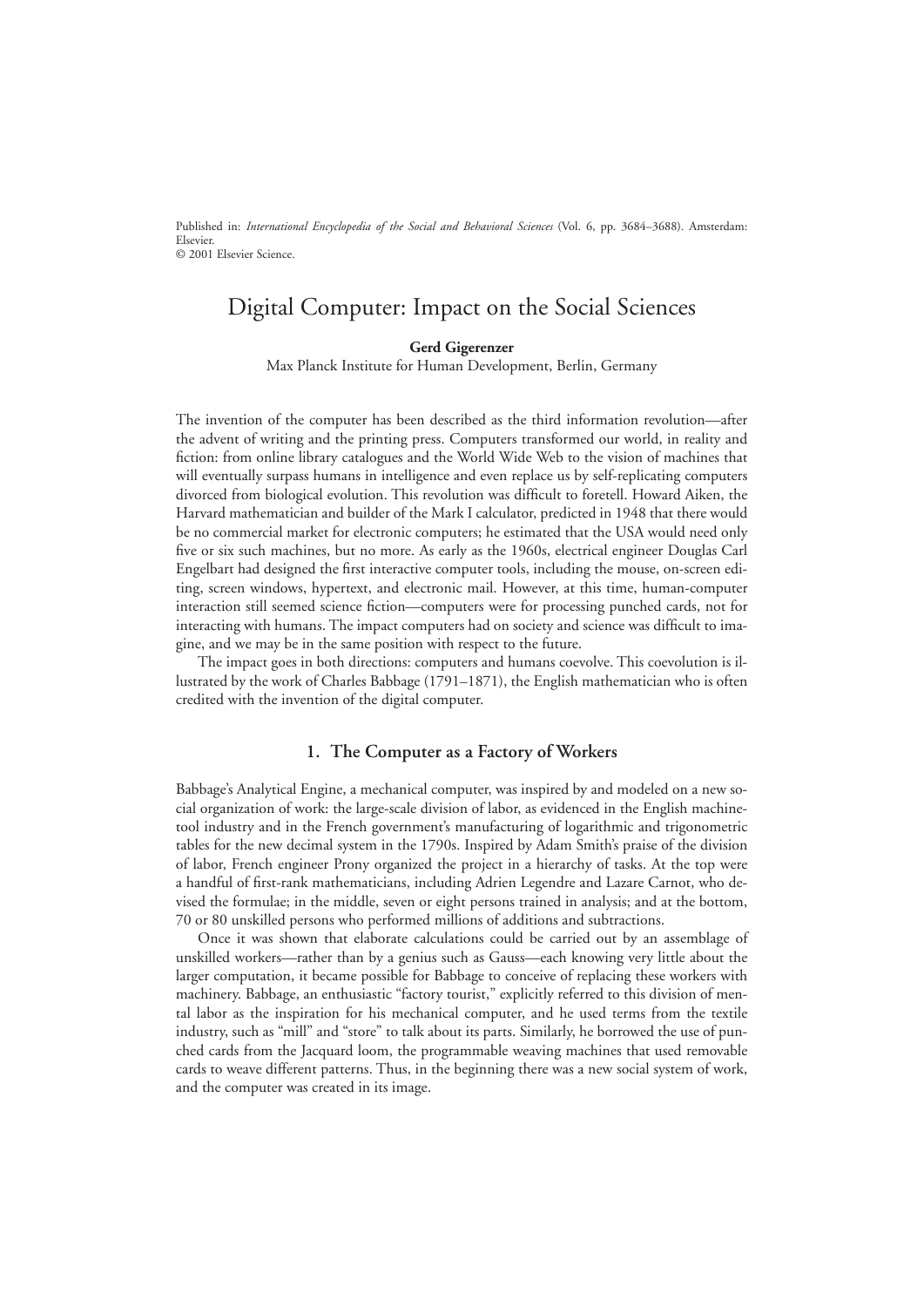Published in: *International Encyclopedia of the Social and Behavioral Sciences* (Vol. 6, pp. 3684–3688). Amsterdam: Elsevier. © 2001 Elsevier Science.

# Digital Computer: Impact on the Social Sciences

### **Gerd Gigerenzer**

Max Planck Institute for Human Development, Berlin, Germany

The invention of the computer has been described as the third information revolution—after the advent of writing and the printing press. Computers transformed our world, in reality and fiction: from online library catalogues and the World Wide Web to the vision of machines that will eventually surpass humans in intelligence and even replace us by self-replicating computers divorced from biological evolution. This revolution was difficult to foretell. Howard Aiken, the Harvard mathematician and builder of the Mark I calculator, predicted in 1948 that there would be no commercial market for electronic computers; he estimated that the USA would need only five or six such machines, but no more. As early as the 1960s, electrical engineer Douglas Carl Engelbart had designed the first interactive computer tools, including the mouse, on-screen editing, screen windows, hypertext, and electronic mail. However, at this time, human-computer interaction still seemed science fiction—computers were for processing punched cards, not for interacting with humans. The impact computers had on society and science was difficult to imagine, and we may be in the same position with respect to the future.

The impact goes in both directions: computers and humans coevolve. This coevolution is illustrated by the work of Charles Babbage (1791–1871), the English mathematician who is often credited with the invention of the digital computer.

#### **1. The Computer as a Factory of Workers**

Babbage's Analytical Engine, a mechanical computer, was inspired by and modeled on a new social organization of work: the large-scale division of labor, as evidenced in the English machinetool industry and in the French government's manufacturing of logarithmic and trigonometric tables for the new decimal system in the 1790s. Inspired by Adam Smith's praise of the division of labor, French engineer Prony organized the project in a hierarchy of tasks. At the top were a handful of first-rank mathematicians, including Adrien Legendre and Lazare Carnot, who devised the formulae; in the middle, seven or eight persons trained in analysis; and at the bottom, 70 or 80 unskilled persons who performed millions of additions and subtractions.

Once it was shown that elaborate calculations could be carried out by an assemblage of unskilled workers—rather than by a genius such as Gauss—each knowing very little about the larger computation, it became possible for Babbage to conceive of replacing these workers with machinery. Babbage, an enthusiastic "factory tourist," explicitly referred to this division of mental labor as the inspiration for his mechanical computer, and he used terms from the textile industry, such as "mill" and "store" to talk about its parts. Similarly, he borrowed the use of punched cards from the Jacquard loom, the programmable weaving machines that used removable cards to weave different patterns. Thus, in the beginning there was a new social system of work, and the computer was created in its image.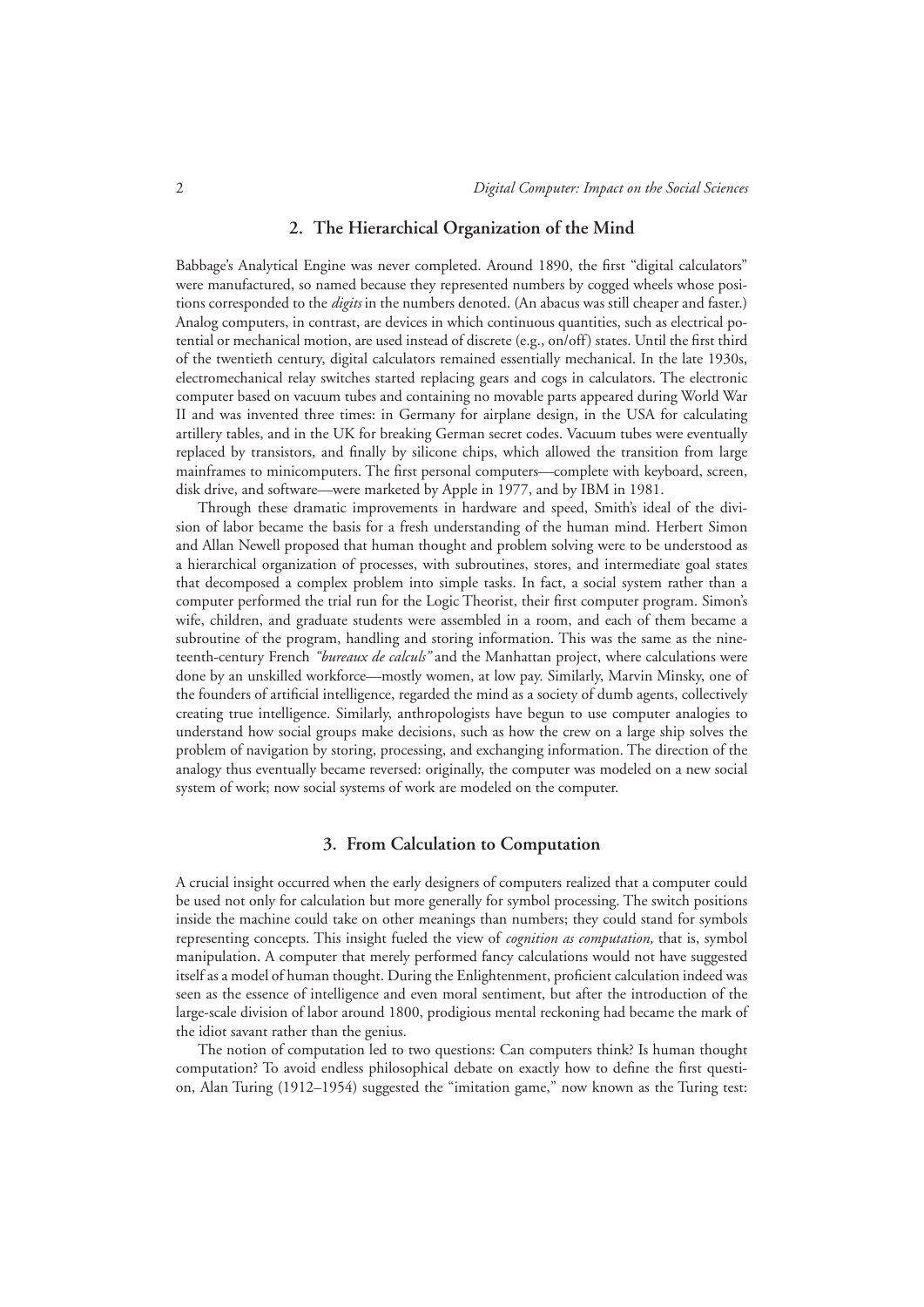# **2. The Hierarchical Organization of the Mind**

Babbage's Analytical Engine was never completed. Around 1890, the first "digital calculators" were manufactured, so named because they represented numbers by cogged wheels whose positions corresponded to the *digits* in the numbers denoted. (An abacus was still cheaper and faster.) Analog computers, in contrast, are devices in which continuous quantities, such as electrical potential or mechanical motion, are used instead of discrete (e.g., on/off) states. Until the first third of the twentieth century, digital calculators remained essentially mechanical. In the late 1930s, electromechanical relay switches started replacing gears and cogs in calculators. The electronic computer based on vacuum tubes and containing no movable parts appeared during World War II and was invented three times: in Germany for airplane design, in the USA for calculating artillery tables, and in the UK for breaking German secret codes. Vacuum tubes were eventually replaced by transistors, and finally by silicone chips, which allowed the transition from large mainframes to minicomputers. The first personal computers—complete with keyboard, screen, disk drive, and software—were marketed by Apple in 1977, and by IBM in 1981.

Through these dramatic improvements in hardware and speed, Smith's ideal of the division of labor became the basis for a fresh understanding of the human mind. Herbert Simon and Allan Newell proposed that human thought and problem solving were to be understood as a hierarchical organization of processes, with subroutines, stores, and intermediate goal states that decomposed a complex problem into simple tasks. In fact, a social system rather than a computer performed the trial run for the Logic Theorist, their first computer program. Simon's wife, children, and graduate students were assembled in a room, and each of them became a subroutine of the program, handling and storing information. This was the same as the nineteenth-century French *"bureaux de calculs"* and the Manhattan project, where calculations were done by an unskilled workforce—mostly women, at low pay. Similarly, Marvin Minsky, one of the founders of artificial intelligence, regarded the mind as a society of dumb agents, collectively creating true intelligence. Similarly, anthropologists have begun to use computer analogies to understand how social groups make decisions, such as how the crew on a large ship solves the problem of navigation by storing, processing, and exchanging information. The direction of the analogy thus eventually became reversed: originally, the computer was modeled on a new social system of work; now social systems of work are modeled on the computer.

#### **3. From Calculation to Computation**

A crucial insight occurred when the early designers of computers realized that a computer could be used not only for calculation but more generally for symbol processing. The switch positions inside the machine could take on other meanings than numbers; they could stand for symbols representing concepts. This insight fueled the view of *cognition as computation,* that is, symbol manipulation. A computer that merely performed fancy calculations would not have suggested itself as a model of human thought. During the Enlightenment, proficient calculation indeed was seen as the essence of intelligence and even moral sentiment, but after the introduction of the large-scale division of labor around 1800, prodigious mental reckoning had became the mark of the idiot savant rather than the genius.

The notion of computation led to two questions: Can computers think? Is human thought computation? To avoid endless philosophical debate on exactly how to define the first question, Alan Turing (1912–1954) suggested the "imitation game," now known as the Turing test: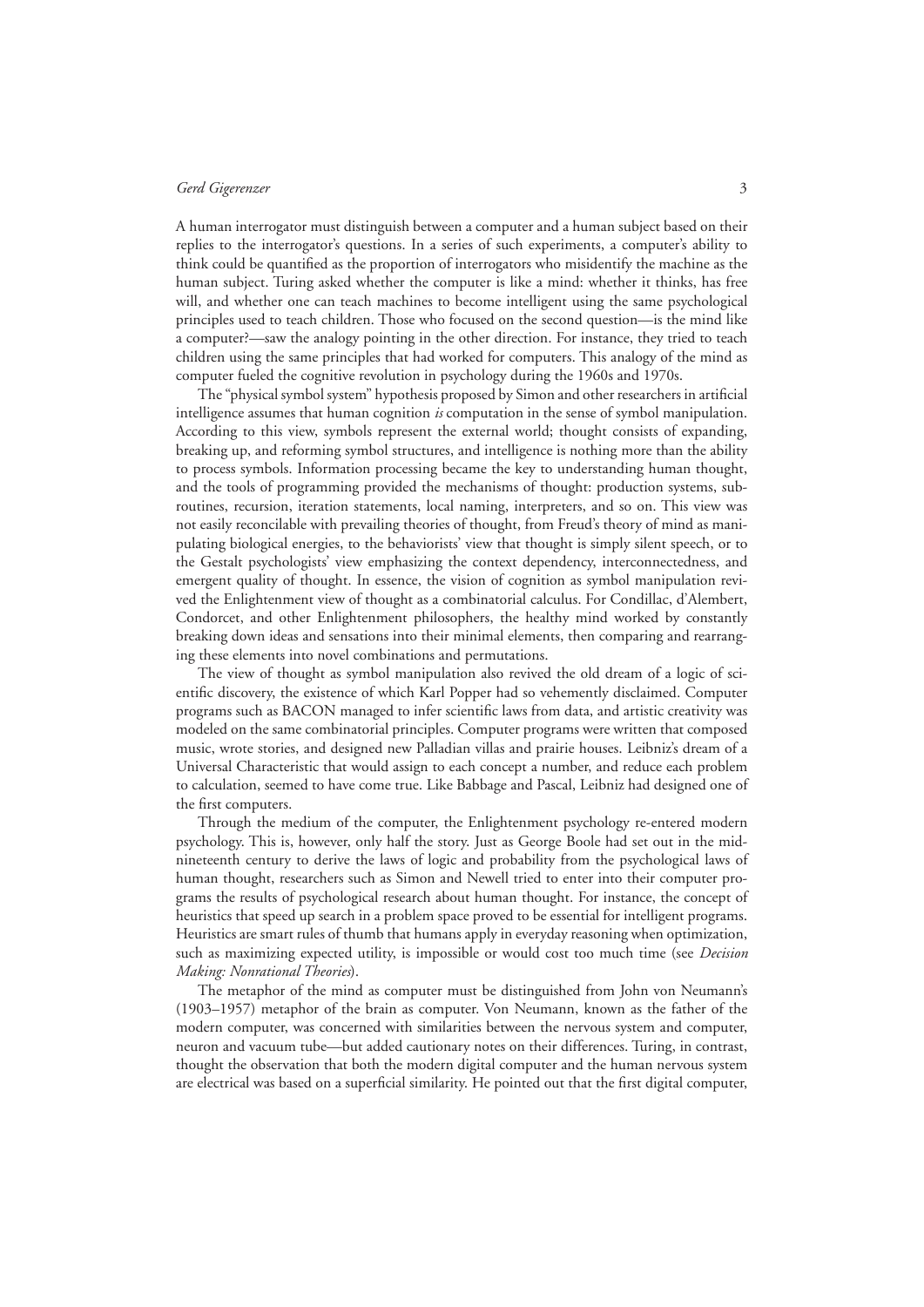#### *Gerd Gigerenzer* 3

A human interrogator must distinguish between a computer and a human subject based on their replies to the interrogator's questions. In a series of such experiments, a computer's ability to think could be quantified as the proportion of interrogators who misidentify the machine as the human subject. Turing asked whether the computer is like a mind: whether it thinks, has free will, and whether one can teach machines to become intelligent using the same psychological principles used to teach children. Those who focused on the second question—is the mind like a computer?—saw the analogy pointing in the other direction. For instance, they tried to teach children using the same principles that had worked for computers. This analogy of the mind as computer fueled the cognitive revolution in psychology during the 1960s and 1970s.

The "physical symbol system" hypothesis proposed by Simon and other researchers in artificial intelligence assumes that human cognition *is* computation in the sense of symbol manipulation. According to this view, symbols represent the external world; thought consists of expanding, breaking up, and reforming symbol structures, and intelligence is nothing more than the ability to process symbols. Information processing became the key to understanding human thought, and the tools of programming provided the mechanisms of thought: production systems, subroutines, recursion, iteration statements, local naming, interpreters, and so on. This view was not easily reconcilable with prevailing theories of thought, from Freud's theory of mind as manipulating biological energies, to the behaviorists' view that thought is simply silent speech, or to the Gestalt psychologists' view emphasizing the context dependency, interconnectedness, and emergent quality of thought. In essence, the vision of cognition as symbol manipulation revived the Enlightenment view of thought as a combinatorial calculus. For Condillac, d'Alembert, Condorcet, and other Enlightenment philosophers, the healthy mind worked by constantly breaking down ideas and sensations into their minimal elements, then comparing and rearranging these elements into novel combinations and permutations.

The view of thought as symbol manipulation also revived the old dream of a logic of scientific discovery, the existence of which Karl Popper had so vehemently disclaimed. Computer programs such as BACON managed to infer scientific laws from data, and artistic creativity was modeled on the same combinatorial principles. Computer programs were written that composed music, wrote stories, and designed new Palladian villas and prairie houses. Leibniz's dream of a Universal Characteristic that would assign to each concept a number, and reduce each problem to calculation, seemed to have come true. Like Babbage and Pascal, Leibniz had designed one of the first computers.

Through the medium of the computer, the Enlightenment psychology re-entered modern psychology. This is, however, only half the story. Just as George Boole had set out in the midnineteenth century to derive the laws of logic and probability from the psychological laws of human thought, researchers such as Simon and Newell tried to enter into their computer programs the results of psychological research about human thought. For instance, the concept of heuristics that speed up search in a problem space proved to be essential for intelligent programs. Heuristics are smart rules of thumb that humans apply in everyday reasoning when optimization, such as maximizing expected utility, is impossible or would cost too much time (see *Decision Making: Nonrational Theories*).

The metaphor of the mind as computer must be distinguished from John von Neumann's (1903–1957) metaphor of the brain as computer. Von Neumann, known as the father of the modern computer, was concerned with similarities between the nervous system and computer, neuron and vacuum tube—but added cautionary notes on their differences. Turing, in contrast, thought the observation that both the modern digital computer and the human nervous system are electrical was based on a superficial similarity. He pointed out that the first digital computer,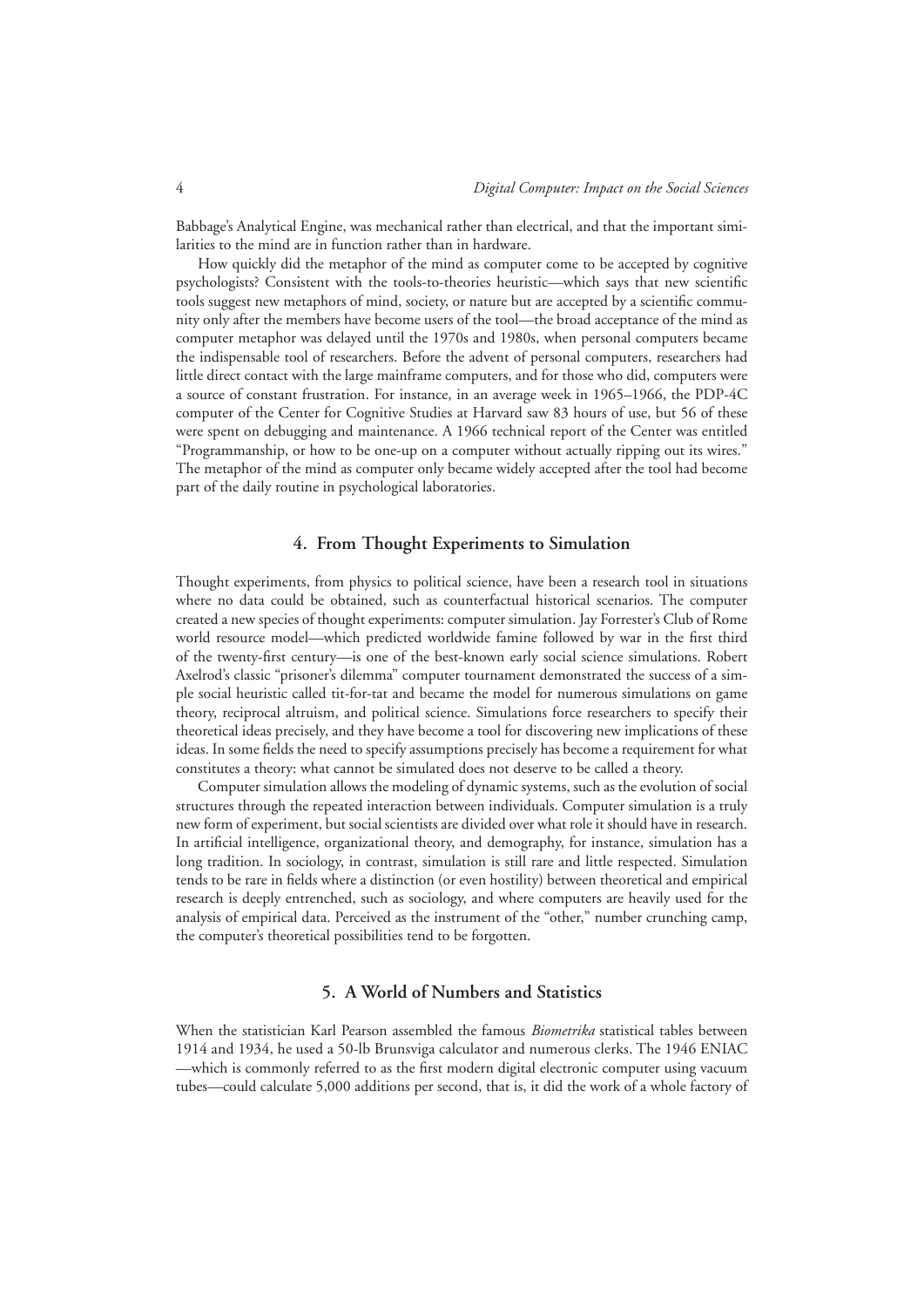Babbage's Analytical Engine, was mechanical rather than electrical, and that the important similarities to the mind are in function rather than in hardware.

How quickly did the metaphor of the mind as computer come to be accepted by cognitive psychologists? Consistent with the tools-to-theories heuristic—which says that new scientific tools suggest new metaphors of mind, society, or nature but are accepted by a scientific community only after the members have become users of the tool—the broad acceptance of the mind as computer metaphor was delayed until the 1970s and 1980s, when personal computers became the indispensable tool of researchers. Before the advent of personal computers, researchers had little direct contact with the large mainframe computers, and for those who did, computers were a source of constant frustration. For instance, in an average week in 1965–1966, the PDP-4C computer of the Center for Cognitive Studies at Harvard saw 83 hours of use, but 56 of these were spent on debugging and maintenance. A 1966 technical report of the Center was entitled "Programmanship, or how to be one-up on a computer without actually ripping out its wires." The metaphor of the mind as computer only became widely accepted after the tool had become part of the daily routine in psychological laboratories.

# **4. From Thought Experiments to Simulation**

Thought experiments, from physics to political science, have been a research tool in situations where no data could be obtained, such as counterfactual historical scenarios. The computer created a new species of thought experiments: computer simulation. Jay Forrester's Club of Rome world resource model—which predicted worldwide famine followed by war in the first third of the twenty-first century—is one of the best-known early social science simulations. Robert Axelrod's classic "prisoner's dilemma" computer tournament demonstrated the success of a simple social heuristic called tit-for-tat and became the model for numerous simulations on game theory, reciprocal altruism, and political science. Simulations force researchers to specify their theoretical ideas precisely, and they have become a tool for discovering new implications of these ideas. In some fields the need to specify assumptions precisely has become a requirement for what constitutes a theory: what cannot be simulated does not deserve to be called a theory.

Computer simulation allows the modeling of dynamic systems, such as the evolution of social structures through the repeated interaction between individuals. Computer simulation is a truly new form of experiment, but social scientists are divided over what role it should have in research. In artificial intelligence, organizational theory, and demography, for instance, simulation has a long tradition. In sociology, in contrast, simulation is still rare and little respected. Simulation tends to be rare in fields where a distinction (or even hostility) between theoretical and empirical research is deeply entrenched, such as sociology, and where computers are heavily used for the analysis of empirical data. Perceived as the instrument of the "other," number crunching camp, the computer's theoretical possibilities tend to be forgotten.

# **5. A World of Numbers and Statistics**

When the statistician Karl Pearson assembled the famous *Biometrika* statistical tables between 1914 and 1934, he used a 50-lb Brunsviga calculator and numerous clerks. The 1946 ENIAC -which is commonly referred to as the first modern digital electronic computer using vacuum tubes—could calculate 5,000 additions per second, that is, it did the work of a whole factory of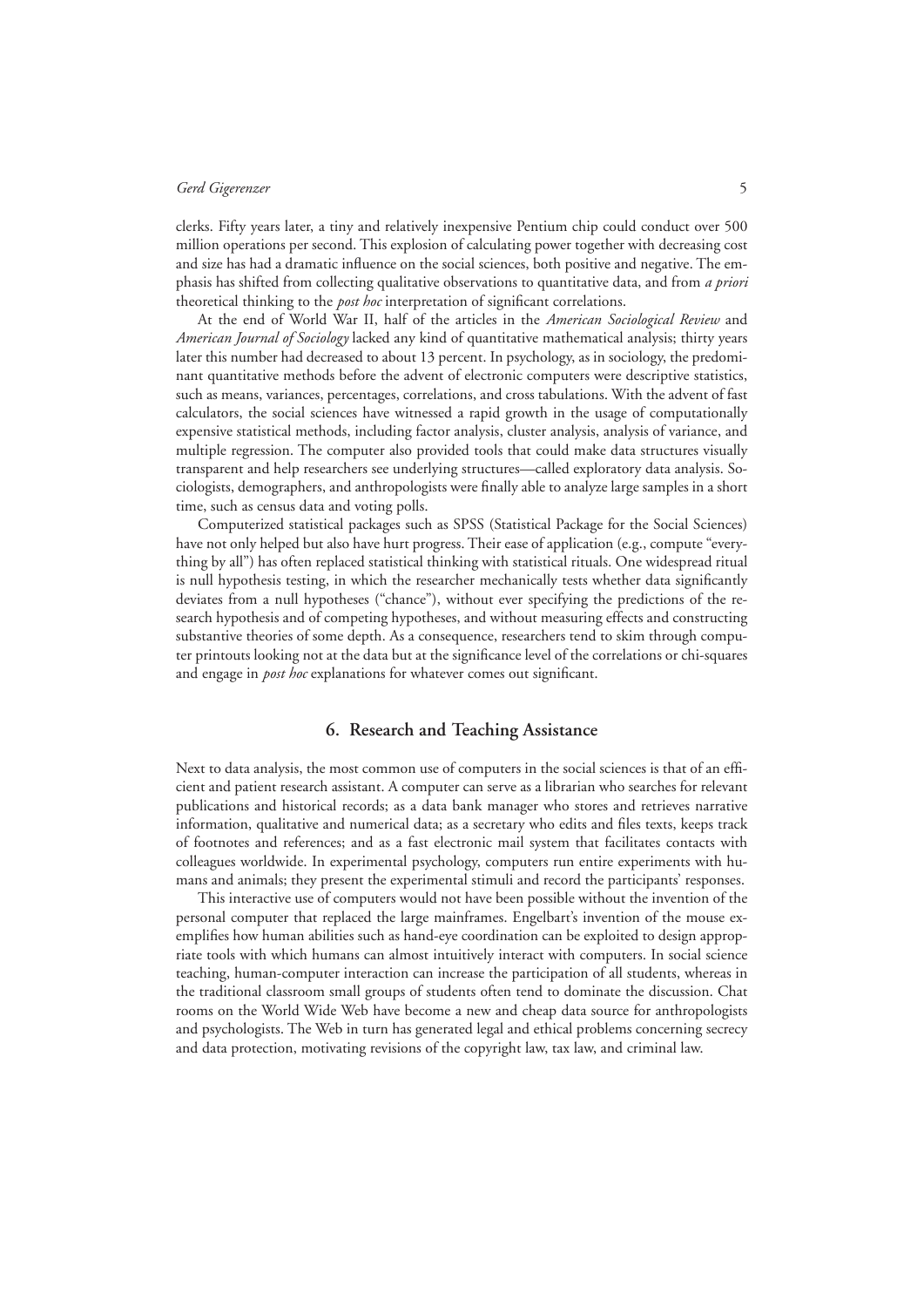#### *Gerd Gigerenzer* 5

clerks. Fifty years later, a tiny and relatively inexpensive Pentium chip could conduct over 500 million operations per second. This explosion of calculating power together with decreasing cost and size has had a dramatic influence on the social sciences, both positive and negative. The emphasis has shifted from collecting qualitative observations to quantitative data, and from *a priori* theoretical thinking to the *post hoc* interpretation of significant correlations.

At the end of World War II, half of the articles in the *American Sociological Review* and *American Journal of Sociology* lacked any kind of quantitative mathematical analysis; thirty years later this number had decreased to about 13 percent. In psychology, as in sociology, the predominant quantitative methods before the advent of electronic computers were descriptive statistics, such as means, variances, percentages, correlations, and cross tabulations. With the advent of fast calculators, the social sciences have witnessed a rapid growth in the usage of computationally expensive statistical methods, including factor analysis, cluster analysis, analysis of variance, and multiple regression. The computer also provided tools that could make data structures visually transparent and help researchers see underlying structures—called exploratory data analysis. Sociologists, demographers, and anthropologists were finally able to analyze large samples in a short time, such as census data and voting polls.

Computerized statistical packages such as SPSS (Statistical Package for the Social Sciences) have not only helped but also have hurt progress. Their ease of application (e.g., compute "everything by all") has often replaced statistical thinking with statistical rituals. One widespread ritual is null hypothesis testing, in which the researcher mechanically tests whether data significantly deviates from a null hypotheses ("chance"), without ever specifying the predictions of the research hypothesis and of competing hypotheses, and without measuring effects and constructing substantive theories of some depth. As a consequence, researchers tend to skim through computer printouts looking not at the data but at the significance level of the correlations or chi-squares and engage in *post hoc* explanations for whatever comes out significant.

#### **6. Research and Teaching Assistance**

Next to data analysis, the most common use of computers in the social sciences is that of an efficient and patient research assistant. A computer can serve as a librarian who searches for relevant publications and historical records; as a data bank manager who stores and retrieves narrative information, qualitative and numerical data; as a secretary who edits and files texts, keeps track of footnotes and references; and as a fast electronic mail system that facilitates contacts with colleagues worldwide. In experimental psychology, computers run entire experiments with humans and animals; they present the experimental stimuli and record the participants' responses.

This interactive use of computers would not have been possible without the invention of the personal computer that replaced the large mainframes. Engelbart's invention of the mouse exemplifies how human abilities such as hand-eye coordination can be exploited to design appropriate tools with which humans can almost intuitively interact with computers. In social science teaching, human-computer interaction can increase the participation of all students, whereas in the traditional classroom small groups of students often tend to dominate the discussion. Chat rooms on the World Wide Web have become a new and cheap data source for anthropologists and psychologists. The Web in turn has generated legal and ethical problems concerning secrecy and data protection, motivating revisions of the copyright law, tax law, and criminal law.